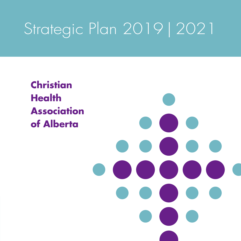# Strategic Plan 2019 | 2021

**Christian Health Association of Alberta**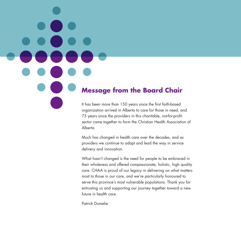### **Message from the Board Chair**

It has been more than 150 years since the first faith-based organization arrived in Alberta to care for those in need, and 75 years since the providers in this charitable, not-for-profit sector came together to form the Christian Health Association of Alberta.

Much has changed in health care over the decades, and as providers we continue to adapt and lead the way in service delivery and innovation.

What hasn't changed is the need for people to be embraced in their wholeness and offered compassionate, holistic, high quality care. CHAA is proud of our legacy in delivering on what matters most to those in our care, and we're particularly honoured to serve this province's most vulnerable populations. Thank you for entrusting us and supporting our journey together toward a new future in health care.

Patrick Dumelie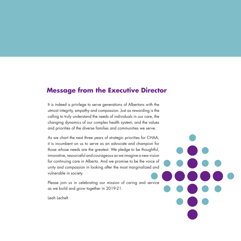### **Message from the Executive Director**

It is indeed a privilege to serve generations of Albertans with the utmost integrity, empathy and compassion. Just as rewarding is the calling to truly understand the needs of individuals in our care, the changing dynamics of our complex health system, and the values and priorities of the diverse families and communities we serve.

As we chart the next three years of strategic priorities for CHAA, it is incumbent on us to serve as an advocate and champion for those whose needs are the greatest. We pledge to be thoughtful, innovative, resourceful and courageous as we imagine a new vision for continuing care in Alberta. And we promise to be the voice of unity and compassion in looking after the most marginalized and vulnerable in society.

Please join us in celebrating our mission of caring and service as we build and grow together in 2019-21.

Leah Lechelt

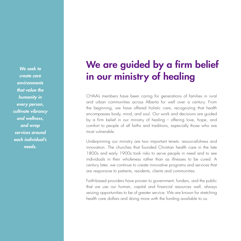*We seek to create care environments that value the humanity in every person, cultivate vibrancy and wellness, and wrap services around each individual's needs.*

## We are guided by a firm belief in our ministry of healing

CHAA's members have been caring for generations of families in rural and urban communities across Alberta for well over a century. From the beginning, we have offered holistic care, recognizing that health encompasses body, mind, and soul. Our work and decisions are guided by a firm belief in our ministry of healing - offering love, hope, and comfort to people of all faiths and traditions, especially those who are most vulnerable.

Underpinning our ministry are two important tenets: resourcefulness and innovation. The churches that founded Christian health care in the late 1800s and early 1900s took risks to serve people in need and to see individuals in their wholeness rather than as illnesses to be cured. A century later, we continue to create innovative programs and services that are responsive to patients, residents, clients and communities.

Faith-based providers have proven to government, funders, and the public that we use our human, capital and financial resources well, always seizing opportunities to be of greater service. We are known for stretching health care dollars and doing more with the funding available to us.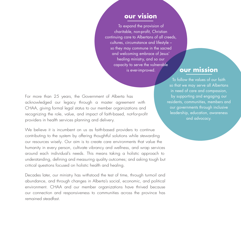#### **our vision**

To expand the provision of charitable, non-profit, Christian continuing care to Albertans of all creeds, cultures, circumstance and lifestyle – so they may commune in the sacred and welcoming embrace of Jesus' healing ministry, and so our capacity to serve the vulnerable is ever-improved. **our mission**

For more than 25 years, the Government of Alberta has acknowledged our legacy through a master agreement with CHAA, giving formal legal status to our member organizations and recognizing the role, value, and impact of faith-based, not-for-profit providers in health services planning and delivery.

We believe it is incumbent on us as faith-based providers to continue contributing to the system by offering thoughtful solutions while stewarding our resources wisely. Our aim is to create care environments that value the humanity in every person, cultivate vibrancy and wellness, and wrap services around each individual's needs. This means taking a holistic approach to understanding, defining and measuring quality outcomes; and asking tough but critical questions focused on holistic health and healing.

Decades later, our ministry has withstood the test of time, through turmoil and abundance, and through changes in Alberta's social, economic, and political environment. CHAA and our member organizations have thrived because our connection and responsiveness to communities across the province has remained steadfast.

To follow the values of our faith so that we may serve all Albertans in need of care and compassion, by supporting and engaging our residents, communities, members and our governments through inclusive leadership, education, awareness and advocacy.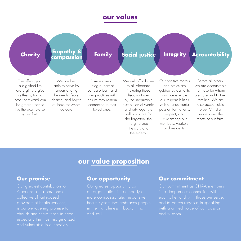### **our values**

### **Charity Family Integrity Empathy & compassion Social justice Accountability**

The offerings of a dignified life are a gift we give selflessly, for no profit or reward can be greater than to live the example set by our faith.

We are best able to serve by understanding the needs, fears, desires, and hopes of those for whom we care.

Families are an integral part of our care team and our practices will ensure they remain connected to their loved ones.

We will afford care to all Albertans including those disadvantaged by the inequitable distribution of wealth and privilege; we will advocate for the forgotten, the marginalized, the sick, and the elderly.

Our positive morals and ethics are guided by our faith, and we execute our responsibilities with a fundamental passion for honesty, respect, and trust among our members, workers, and residents.

Before all others, we are accountable to those for whom we care and to their families. We are also accountable to our Christian leaders and the tenets of our faith.

### **our value proposition**

#### **Our promise**

Albertans, as a passionate collective of faith-based providers of health services, is our unwavering promise to cherish and serve those in need, and vulnerable in our society.

#### **Our opportunity**

an organization is to embody a more compassionate, responsive health system that embraces people in their wholeness—body, mind, and soul.

#### **Our commitment**

Our commitment as CHAA members each other and with those we serve, and to be courageous in speaking with a unified voice of compassion and wisdom.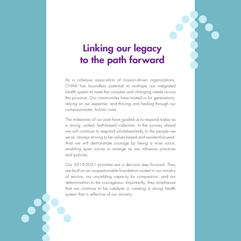## Linking our legacy to the path forward

As a cohesive association of mission-driven organizations, CHAA has boundless potential to re-shape our integrated health system to meet the complex and changing needs across the province. Our communities have trusted us for generations, relying on our expertise, and thriving and healing through our compassionate, holistic care.

The milestones of our past have guided us to respond today as a strong, united, faith-based collective. In the journey ahead we will continue to respond wholeheartedly to the people we serve, always striving to be values-based and resident-focused. And we will demonstrate courage by being a wise voice, enabling quiet voices to emerge as we influence practices and policies.

Our 2019-2021 priorities are a decisive step forward. They are built on an unquestionable foundation rooted in our ministry of service, our unyielding capacity for compassion, and our determination to be courageous. Importantly, they emphasize that we continue to be catalysts in creating a strong health system that is reflective of our ministry.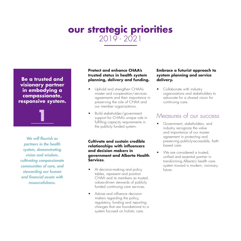### **our strategic priorities**  2019 - 2021

**Be a trusted and visionary partner in embodying a compassionate, responsive system.**

**1**

*We will flourish as partners in the health system, demonstrating vision and wisdom, cultivating compassionate communities of care, and stewarding our human and financial assets with resourcefulness.*

#### **Protect and enhance CHAA's trusted status in health system planning, delivery and funding.**

- Uphold and strengthen CHAA's master and cooperation/services agreements and their importance in preserving the role of CHAA and our member organizations.
- Build stakeholder/government support for CHAA's unique role in fulfilling capacity requirements in the publicly funded system.

**Cultivate and sustain credible relationships with influencers and decision makers in government and Alberta Health Services.**

- At decision-making and policy tables, represent and position CHAA and its members as trusted, values-driven stewards of publicly funded continuing care services.
- Advise and influence decisionmakers regarding the policy, regulatory, funding and reporting changes that are foundational to a system focused on holistic care.

#### **Embrace a futurist approach to system planning and service delivery.**

• Collaborate with industry organizations and stakeholders to advocate for a shared vision for continuing care.

#### Measures of our success

- Government, stakeholders, and industry recognize the value and importance of our master agreement in protecting and preserving publicly-accessible, faithbased care.
- We are considered a trusted, unified and essential partner in transforming Alberta's health care system toward a modern, visionary future.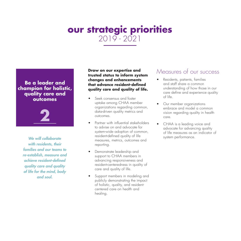### **our strategic priorities**  2019 - 2021

#### **Be a leader and champion for holistic, quality care and outcomes**



*We will collaborate with residents, their families and our teams to re-establish, measure and achieve resident-defined quality care and quality of life for the mind, body and soul.*

**Draw on our expertise and trusted status to inform system changes and enhancements that advance resident-defined quality care and quality of life.**

- Seek consensus and foster uptake among CHAA member organizations regarding common, data-driven quality metrics and outcomes.
- Partner with influential stakeholders to advise on and advocate for system-wide adoption of common, resident-defined quality of life measures, metrics, outcomes and reporting.
- Demonstrate leadership and support to CHAA members in advancing responsiveness and resident-centeredness in quality of care and quality of life.
- Support members in modeling and publicly demonstrating the impact of holistic, quality, and residentcentered care on health and healing.

#### Measures of our success

- Residents, patients, families and staff share a common understanding of how those in our care define and experience quality of life.
- Our member organizations embrace and model a common vision regarding quality in health care.
- CHAA is a leading voice and advocate for advancing quality of life measures as an indicator of system performance.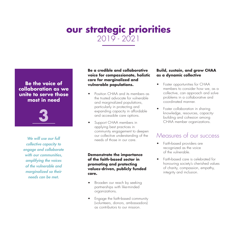### **our strategic priorities**  2019 - 2021

#### **Be the voice of collaboration as we unite to serve those most in need**



*We will use our full collective capacity to engage and collaborate with our communities, amplifying the voices of the vulnerable and marginalized so their needs can be met.*

#### **Be a credible and collaborative voice for compassionate, holistic care for marginalized and vulnerable populations.**

- Position CHAA and its members as the trusted advocate for vulnerable and marginalized populations, particularly in protecting and expanding capacity in affordable and accessible care options.
- Support CHAA members in applying best practices in community engagement to deepen our collective understanding of the needs of those in our care.

#### **Demonstrate the importance of the faith-based sector in promoting and protecting values-driven, publicly funded care.**

- Broaden our reach by seeking partnerships with like-minded organizations.
- Engage the faith-based community (volunteers, donors, ambassadors) as contributors to our mission.

#### **Build, sustain, and grow CHAA as a dynamic collective**

- Foster opportunities for CHAA members to consider how we, as a collective, can approach and solve problems in a collaborative and coordinated manner.
- Foster collaboration in sharing knowledge, resources, capacitybuilding and cohesion among CHAA member organizations.

### Measures of our success

- Faith-based providers are recognized as the voice of the vulnerable.
- Faith-based care is celebrated for honouring society's cherished values of charity, compassion, empathy, integrity and inclusion.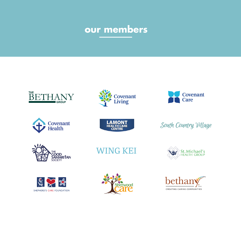## **our members**